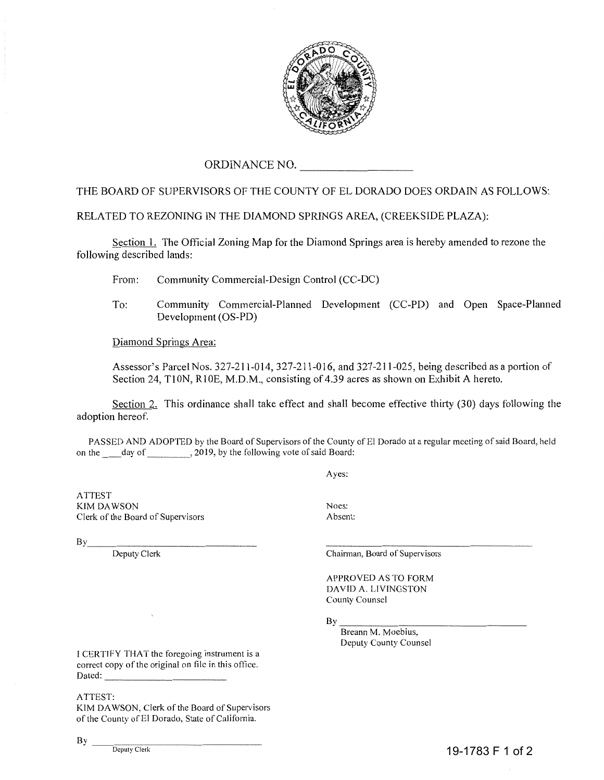

## ORDINANCE NO.

## THE BOARD OF SUPERVISORS OF THE COUNTY OF EL DORADO DOES ORDAIN AS FOLLOWS:

## RELATED TO REZONING IN THE DIAMOND SPRINGS AREA, (CREEKSIDE PLAZA):

Section 1. The Official Zoning Map for the Diamond Springs area is hereby amended to rezone the following described lands:

From: Community Commercial-Design Control (CC-DC)

To: Community Commercial-Planned Development (CC-PD) and Open Space-Planned Development (OS-PD)

Diamond Springs Area:

Assessor's Parcel Nos. 327-211-014, 327-211-016, and 327-211-025, being described as a portion of Section 24, T10N, R10E, M.D.M., consisting of 4.39 acres as shown on Exhibit A hereto.

Section 2. This ordinance shall take effect and shall become effective thirty (30) days following the adoption hereof.

PASSED AND ADOPTED by the Board of Supervisors of the County of El Dorado at a regular meeting of said Board, held on the \_\_\_\_ day of \_\_\_\_\_\_\_\_\_, 2019, by the following vote of said Board:

Ayes:

ATTEST KIM DAWSON Clerk of the Board of Supervisors

Noes: Absent:

 $By$ 

Deputy Clerk

Chairman, Board of Supervisors

APPROVED AS TO FORM DA YID A. LIVINGSTON County Counsel

By  $\frac{1}{\text{Bream M. Moebius}}$ Deputy County Counsel

I CERTIFY THAT the foregoing instrument is a correct copy of the original on file in this office. Dated: \_\_\_\_\_\_\_\_\_ \_

## ATTEST:

KIM DAWSON, Clerk of the Board of Supervisors of the County of El Dorado, State of California.

 $By_$